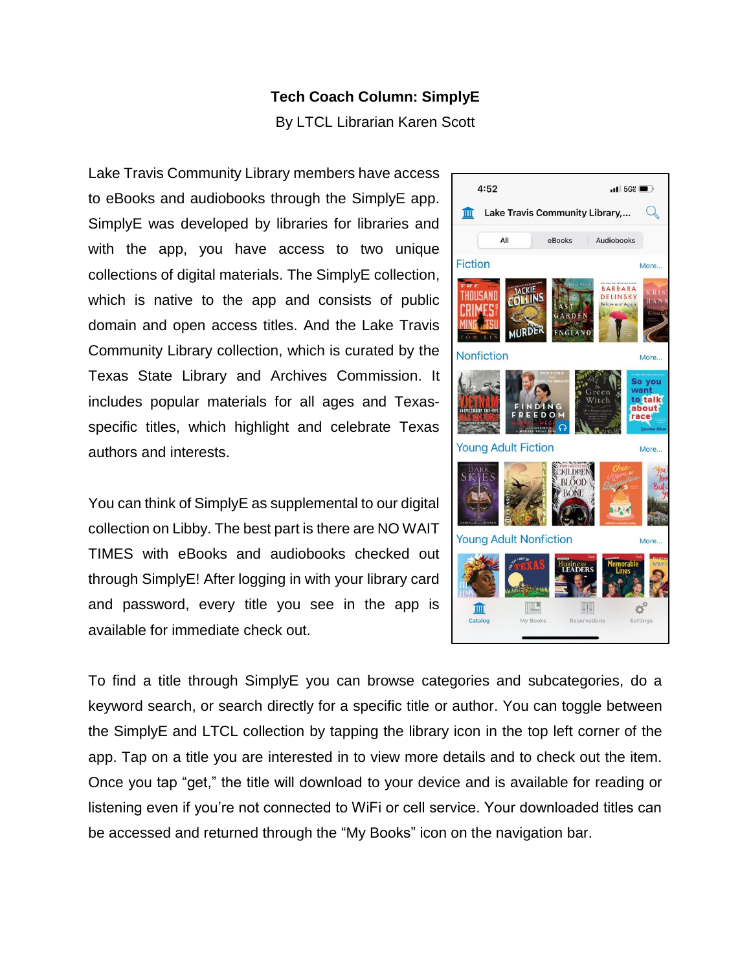## **Tech Coach Column: SimplyE**

By LTCL Librarian Karen Scott

Lake Travis Community Library members have access to eBooks and audiobooks through the SimplyE app. SimplyE was developed by libraries for libraries and with the app, you have access to two unique collections of digital materials. The SimplyE collection, which is native to the app and consists of public domain and open access titles. And the Lake Travis Community Library collection, which is curated by the Texas State Library and Archives Commission. It includes popular materials for all ages and Texasspecific titles, which highlight and celebrate Texas authors and interests.

You can think of SimplyE as supplemental to our digital collection on Libby. The best part is there are NO WAIT TIMES with eBooks and audiobooks checked out through SimplyE! After logging in with your library card and password, every title you see in the app is available for immediate check out.



To find a title through SimplyE you can browse categories and subcategories, do a keyword search, or search directly for a specific title or author. You can toggle between the SimplyE and LTCL collection by tapping the library icon in the top left corner of the app. Tap on a title you are interested in to view more details and to check out the item. Once you tap "get," the title will download to your device and is available for reading or listening even if you're not connected to WiFi or cell service. Your downloaded titles can be accessed and returned through the "My Books" icon on the navigation bar.